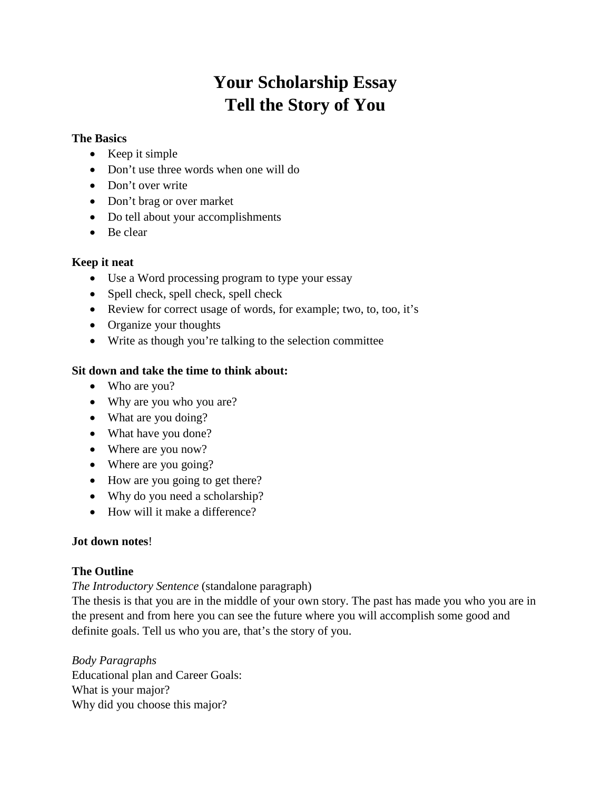# **Your Scholarship Essay Tell the Story of You**

#### **The Basics**

- Keep it simple
- Don't use three words when one will do
- Don't over write
- Don't brag or over market
- Do tell about your accomplishments
- Be clear

### **Keep it neat**

- Use a Word processing program to type your essay
- Spell check, spell check, spell check
- Review for correct usage of words, for example; two, to, too, it's
- Organize your thoughts
- Write as though you're talking to the selection committee

## **Sit down and take the time to think about:**

- Who are you?
- Why are you who you are?
- What are you doing?
- What have you done?
- Where are you now?
- Where are you going?
- How are you going to get there?
- Why do you need a scholarship?
- How will it make a difference?

### **Jot down notes**!

### **The Outline**

*The Introductory Sentence* (standalone paragraph)

The thesis is that you are in the middle of your own story. The past has made you who you are in the present and from here you can see the future where you will accomplish some good and definite goals. Tell us who you are, that's the story of you.

*Body Paragraphs* Educational plan and Career Goals: What is your major? Why did you choose this major?